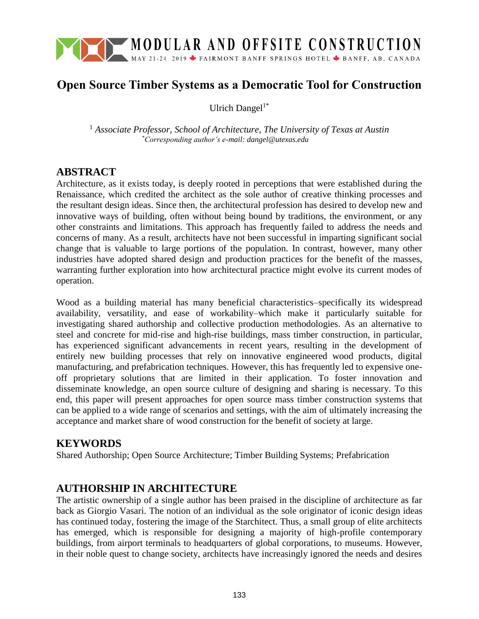

# **Open Source Timber Systems as a Democratic Tool for Construction**

Ulrich Dangel $1^*$ 

<sup>1</sup> *Associate Professor, School of Architecture, The University of Texas at Austin \*Corresponding author's e-mail: dangel@utexas.edu*

## **ABSTRACT**

Architecture, as it exists today, is deeply rooted in perceptions that were established during the Renaissance, which credited the architect as the sole author of creative thinking processes and the resultant design ideas. Since then, the architectural profession has desired to develop new and innovative ways of building, often without being bound by traditions, the environment, or any other constraints and limitations. This approach has frequently failed to address the needs and concerns of many. As a result, architects have not been successful in imparting significant social change that is valuable to large portions of the population. In contrast, however, many other industries have adopted shared design and production practices for the benefit of the masses, warranting further exploration into how architectural practice might evolve its current modes of operation.

Wood as a building material has many beneficial characteristics–specifically its widespread availability, versatility, and ease of workability–which make it particularly suitable for investigating shared authorship and collective production methodologies. As an alternative to steel and concrete for mid-rise and high-rise buildings, mass timber construction, in particular, has experienced significant advancements in recent years, resulting in the development of entirely new building processes that rely on innovative engineered wood products, digital manufacturing, and prefabrication techniques. However, this has frequently led to expensive oneoff proprietary solutions that are limited in their application. To foster innovation and disseminate knowledge, an open source culture of designing and sharing is necessary. To this end, this paper will present approaches for open source mass timber construction systems that can be applied to a wide range of scenarios and settings, with the aim of ultimately increasing the acceptance and market share of wood construction for the benefit of society at large.

# **KEYWORDS**

Shared Authorship; Open Source Architecture; Timber Building Systems; Prefabrication

# **AUTHORSHIP IN ARCHITECTURE**

The artistic ownership of a single author has been praised in the discipline of architecture as far back as Giorgio Vasari. The notion of an individual as the sole originator of iconic design ideas has continued today, fostering the image of the Starchitect. Thus, a small group of elite architects has emerged, which is responsible for designing a majority of high-profile contemporary buildings, from airport terminals to headquarters of global corporations, to museums. However, in their noble quest to change society, architects have increasingly ignored the needs and desires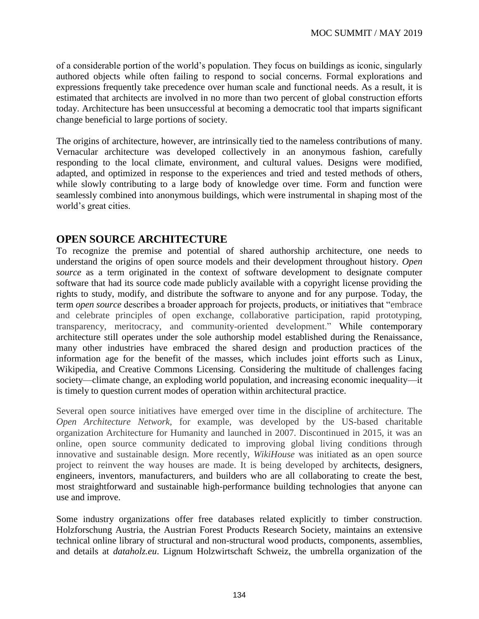of a considerable portion of the world's population. They focus on buildings as iconic, singularly authored objects while often failing to respond to social concerns. Formal explorations and expressions frequently take precedence over human scale and functional needs. As a result, it is estimated that architects are involved in no more than two percent of global construction efforts today. Architecture has been unsuccessful at becoming a democratic tool that imparts significant change beneficial to large portions of society.

The origins of architecture, however, are intrinsically tied to the nameless contributions of many. Vernacular architecture was developed collectively in an anonymous fashion, carefully responding to the local climate, environment, and cultural values. Designs were modified, adapted, and optimized in response to the experiences and tried and tested methods of others, while slowly contributing to a large body of knowledge over time. Form and function were seamlessly combined into anonymous buildings, which were instrumental in shaping most of the world's great cities.

### **OPEN SOURCE ARCHITECTURE**

To recognize the premise and potential of shared authorship architecture, one needs to understand the origins of open source models and their development throughout history. *Open source* as a term originated in the context of software development to designate computer software that had its source code made publicly available with a copyright license providing the rights to study, modify, and distribute the software to anyone and for any purpose. Today, the term *open source* describes a broader approach for projects, products, or initiatives that "embrace and celebrate principles of open exchange, collaborative participation, rapid prototyping, transparency, meritocracy, and community-oriented development." While contemporary architecture still operates under the sole authorship model established during the Renaissance, many other industries have embraced the shared design and production practices of the information age for the benefit of the masses, which includes joint efforts such as Linux, Wikipedia, and Creative Commons Licensing. Considering the multitude of challenges facing society—climate change, an exploding world population, and increasing economic inequality—it is timely to question current modes of operation within architectural practice.

Several open source initiatives have emerged over time in the discipline of architecture. The *Open Architecture Network,* for example, was developed by the US-based charitable organization Architecture for Humanity and launched in 2007. Discontinued in 2015, it was an online, open source community dedicated to improving global living conditions through innovative and sustainable design. More recently, *WikiHouse* was initiated as an open source project to reinvent the way houses are made. It is being developed by architects, designers, engineers, inventors, manufacturers, and builders who are all collaborating to create the best, most straightforward and sustainable high-performance building technologies that anyone can use and improve.

Some industry organizations offer free databases related explicitly to timber construction. Holzforschung Austria, the Austrian Forest Products Research Society, maintains an extensive technical online library of structural and non-structural wood products, components, assemblies, and details at *dataholz.eu*. Lignum Holzwirtschaft Schweiz, the umbrella organization of the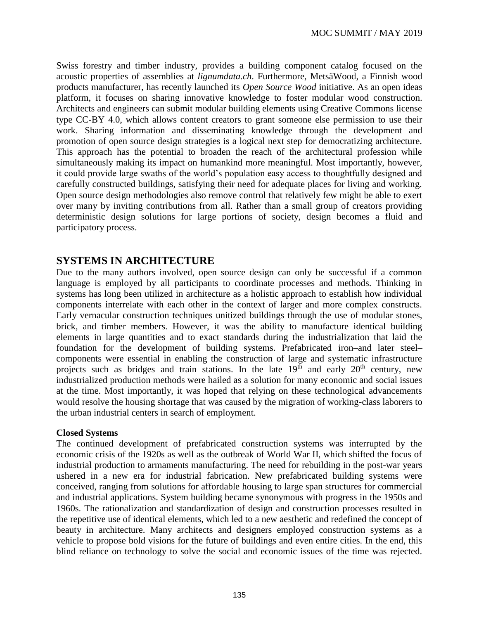Swiss forestry and timber industry, provides a building component catalog focused on the acoustic properties of assemblies at *lignumdata.ch*. Furthermore, MetsäWood, a Finnish wood products manufacturer, has recently launched its *Open Source Wood* initiative. As an open ideas platform, it focuses on sharing innovative knowledge to foster modular wood construction. Architects and engineers can submit modular building elements using Creative Commons license type CC-BY 4.0, which allows content creators to grant someone else permission to use their work. Sharing information and disseminating knowledge through the development and promotion of open source design strategies is a logical next step for democratizing architecture. This approach has the potential to broaden the reach of the architectural profession while simultaneously making its impact on humankind more meaningful. Most importantly, however, it could provide large swaths of the world's population easy access to thoughtfully designed and carefully constructed buildings, satisfying their need for adequate places for living and working. Open source design methodologies also remove control that relatively few might be able to exert over many by inviting contributions from all. Rather than a small group of creators providing deterministic design solutions for large portions of society, design becomes a fluid and participatory process.

### **SYSTEMS IN ARCHITECTURE**

Due to the many authors involved, open source design can only be successful if a common language is employed by all participants to coordinate processes and methods. Thinking in systems has long been utilized in architecture as a holistic approach to establish how individual components interrelate with each other in the context of larger and more complex constructs. Early vernacular construction techniques unitized buildings through the use of modular stones, brick, and timber members. However, it was the ability to manufacture identical building elements in large quantities and to exact standards during the industrialization that laid the foundation for the development of building systems. Prefabricated iron–and later steel– components were essential in enabling the construction of large and systematic infrastructure projects such as bridges and train stations. In the late  $19<sup>th</sup>$  and early  $20<sup>th</sup>$  century, new industrialized production methods were hailed as a solution for many economic and social issues at the time. Most importantly, it was hoped that relying on these technological advancements would resolve the housing shortage that was caused by the migration of working-class laborers to the urban industrial centers in search of employment.

#### **Closed Systems**

The continued development of prefabricated construction systems was interrupted by the economic crisis of the 1920s as well as the outbreak of World War II, which shifted the focus of industrial production to armaments manufacturing. The need for rebuilding in the post-war years ushered in a new era for industrial fabrication. New prefabricated building systems were conceived, ranging from solutions for affordable housing to large span structures for commercial and industrial applications. System building became synonymous with progress in the 1950s and 1960s. The rationalization and standardization of design and construction processes resulted in the repetitive use of identical elements, which led to a new aesthetic and redefined the concept of beauty in architecture. Many architects and designers employed construction systems as a vehicle to propose bold visions for the future of buildings and even entire cities. In the end, this blind reliance on technology to solve the social and economic issues of the time was rejected.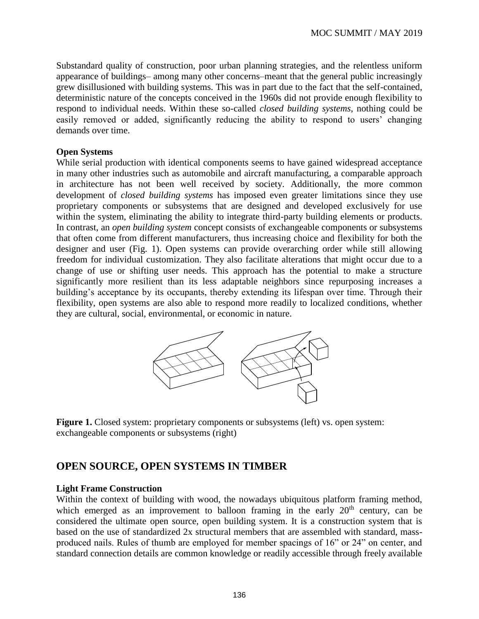Substandard quality of construction, poor urban planning strategies, and the relentless uniform appearance of buildings– among many other concerns–meant that the general public increasingly grew disillusioned with building systems. This was in part due to the fact that the self-contained, deterministic nature of the concepts conceived in the 1960s did not provide enough flexibility to respond to individual needs. Within these so-called *closed building systems*, nothing could be easily removed or added, significantly reducing the ability to respond to users' changing demands over time.

#### **Open Systems**

While serial production with identical components seems to have gained widespread acceptance in many other industries such as automobile and aircraft manufacturing, a comparable approach in architecture has not been well received by society. Additionally, the more common development of *closed building systems* has imposed even greater limitations since they use proprietary components or subsystems that are designed and developed exclusively for use within the system, eliminating the ability to integrate third-party building elements or products. In contrast, an *open building system* concept consists of exchangeable components or subsystems that often come from different manufacturers, thus increasing choice and flexibility for both the designer and user (Fig. 1). Open systems can provide overarching order while still allowing freedom for individual customization. They also facilitate alterations that might occur due to a change of use or shifting user needs. This approach has the potential to make a structure significantly more resilient than its less adaptable neighbors since repurposing increases a building's acceptance by its occupants, thereby extending its lifespan over time. Through their flexibility, open systems are also able to respond more readily to localized conditions, whether they are cultural, social, environmental, or economic in nature.



**Figure 1.** Closed system: proprietary components or subsystems (left) vs. open system: exchangeable components or subsystems (right)

# **OPEN SOURCE, OPEN SYSTEMS IN TIMBER**

#### **Light Frame Construction**

Within the context of building with wood, the nowadays ubiquitous platform framing method, which emerged as an improvement to balloon framing in the early  $20<sup>th</sup>$  century, can be considered the ultimate open source, open building system. It is a construction system that is based on the use of standardized 2x structural members that are assembled with standard, massproduced nails. Rules of thumb are employed for member spacings of 16" or 24" on center, and standard connection details are common knowledge or readily accessible through freely available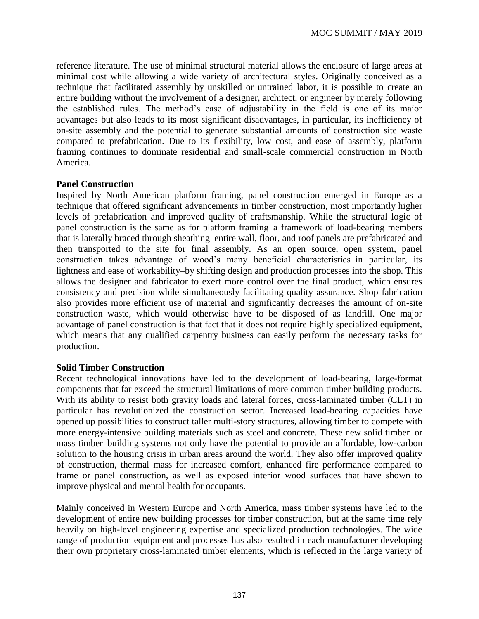reference literature. The use of minimal structural material allows the enclosure of large areas at minimal cost while allowing a wide variety of architectural styles. Originally conceived as a technique that facilitated assembly by unskilled or untrained labor, it is possible to create an entire building without the involvement of a designer, architect, or engineer by merely following the established rules. The method's ease of adjustability in the field is one of its major advantages but also leads to its most significant disadvantages, in particular, its inefficiency of on-site assembly and the potential to generate substantial amounts of construction site waste compared to prefabrication. Due to its flexibility, low cost, and ease of assembly, platform framing continues to dominate residential and small-scale commercial construction in North America.

#### **Panel Construction**

Inspired by North American platform framing, panel construction emerged in Europe as a technique that offered significant advancements in timber construction, most importantly higher levels of prefabrication and improved quality of craftsmanship. While the structural logic of panel construction is the same as for platform framing–a framework of load-bearing members that is laterally braced through sheathing–entire wall, floor, and roof panels are prefabricated and then transported to the site for final assembly. As an open source, open system, panel construction takes advantage of wood's many beneficial characteristics–in particular, its lightness and ease of workability–by shifting design and production processes into the shop. This allows the designer and fabricator to exert more control over the final product, which ensures consistency and precision while simultaneously facilitating quality assurance. Shop fabrication also provides more efficient use of material and significantly decreases the amount of on-site construction waste, which would otherwise have to be disposed of as landfill. One major advantage of panel construction is that fact that it does not require highly specialized equipment, which means that any qualified carpentry business can easily perform the necessary tasks for production.

#### **Solid Timber Construction**

Recent technological innovations have led to the development of load-bearing, large-format components that far exceed the structural limitations of more common timber building products. With its ability to resist both gravity loads and lateral forces, cross-laminated timber (CLT) in particular has revolutionized the construction sector. Increased load-bearing capacities have opened up possibilities to construct taller multi-story structures, allowing timber to compete with more energy-intensive building materials such as steel and concrete. These new solid timber–or mass timber–building systems not only have the potential to provide an affordable, low-carbon solution to the housing crisis in urban areas around the world. They also offer improved quality of construction, thermal mass for increased comfort, enhanced fire performance compared to frame or panel construction, as well as exposed interior wood surfaces that have shown to improve physical and mental health for occupants.

Mainly conceived in Western Europe and North America, mass timber systems have led to the development of entire new building processes for timber construction, but at the same time rely heavily on high-level engineering expertise and specialized production technologies. The wide range of production equipment and processes has also resulted in each manufacturer developing their own proprietary cross-laminated timber elements, which is reflected in the large variety of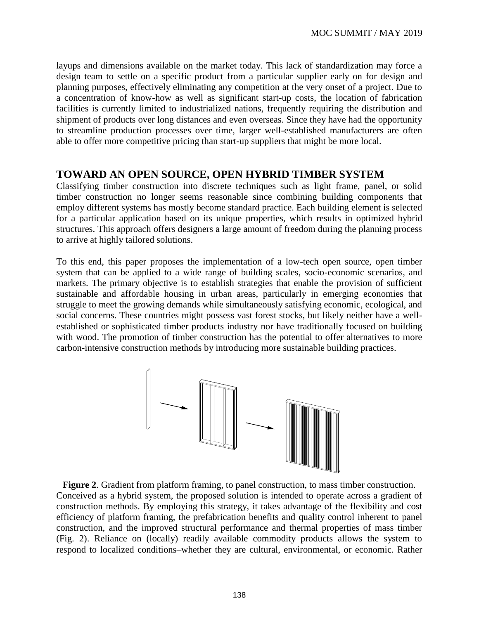layups and dimensions available on the market today. This lack of standardization may force a design team to settle on a specific product from a particular supplier early on for design and planning purposes, effectively eliminating any competition at the very onset of a project. Due to a concentration of know-how as well as significant start-up costs, the location of fabrication facilities is currently limited to industrialized nations, frequently requiring the distribution and shipment of products over long distances and even overseas. Since they have had the opportunity to streamline production processes over time, larger well-established manufacturers are often able to offer more competitive pricing than start-up suppliers that might be more local.

## **TOWARD AN OPEN SOURCE, OPEN HYBRID TIMBER SYSTEM**

Classifying timber construction into discrete techniques such as light frame, panel, or solid timber construction no longer seems reasonable since combining building components that employ different systems has mostly become standard practice. Each building element is selected for a particular application based on its unique properties, which results in optimized hybrid structures. This approach offers designers a large amount of freedom during the planning process to arrive at highly tailored solutions.

To this end, this paper proposes the implementation of a low-tech open source, open timber system that can be applied to a wide range of building scales, socio-economic scenarios, and markets. The primary objective is to establish strategies that enable the provision of sufficient sustainable and affordable housing in urban areas, particularly in emerging economies that struggle to meet the growing demands while simultaneously satisfying economic, ecological, and social concerns. These countries might possess vast forest stocks, but likely neither have a wellestablished or sophisticated timber products industry nor have traditionally focused on building with wood. The promotion of timber construction has the potential to offer alternatives to more carbon-intensive construction methods by introducing more sustainable building practices.



**Figure 2**. Gradient from platform framing, to panel construction, to mass timber construction. Conceived as a hybrid system, the proposed solution is intended to operate across a gradient of construction methods. By employing this strategy, it takes advantage of the flexibility and cost efficiency of platform framing, the prefabrication benefits and quality control inherent to panel construction, and the improved structural performance and thermal properties of mass timber (Fig. 2). Reliance on (locally) readily available commodity products allows the system to respond to localized conditions–whether they are cultural, environmental, or economic. Rather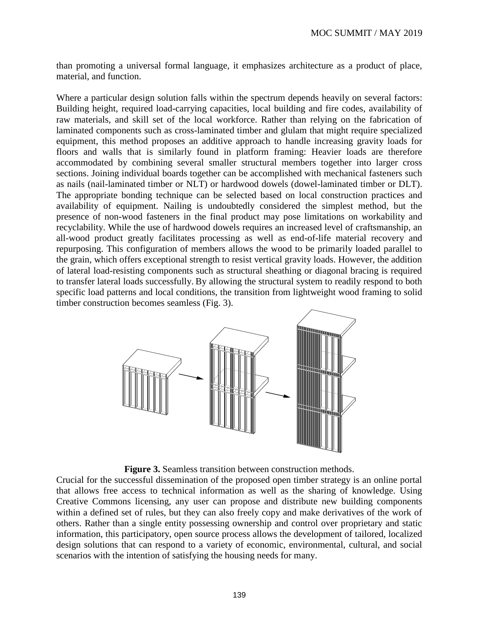than promoting a universal formal language, it emphasizes architecture as a product of place, material, and function.

Where a particular design solution falls within the spectrum depends heavily on several factors: Building height, required load-carrying capacities, local building and fire codes, availability of raw materials, and skill set of the local workforce. Rather than relying on the fabrication of laminated components such as cross-laminated timber and glulam that might require specialized equipment, this method proposes an additive approach to handle increasing gravity loads for floors and walls that is similarly found in platform framing: Heavier loads are therefore accommodated by combining several smaller structural members together into larger cross sections. Joining individual boards together can be accomplished with mechanical fasteners such as nails (nail-laminated timber or NLT) or hardwood dowels (dowel-laminated timber or DLT). The appropriate bonding technique can be selected based on local construction practices and availability of equipment. Nailing is undoubtedly considered the simplest method, but the presence of non-wood fasteners in the final product may pose limitations on workability and recyclability. While the use of hardwood dowels requires an increased level of craftsmanship, an all-wood product greatly facilitates processing as well as end-of-life material recovery and repurposing. This configuration of members allows the wood to be primarily loaded parallel to the grain, which offers exceptional strength to resist vertical gravity loads. However, the addition of lateral load-resisting components such as structural sheathing or diagonal bracing is required to transfer lateral loads successfully. By allowing the structural system to readily respond to both specific load patterns and local conditions, the transition from lightweight wood framing to solid timber construction becomes seamless (Fig. 3).



**Figure 3.** Seamless transition between construction methods.

Crucial for the successful dissemination of the proposed open timber strategy is an online portal that allows free access to technical information as well as the sharing of knowledge. Using Creative Commons licensing, any user can propose and distribute new building components within a defined set of rules, but they can also freely copy and make derivatives of the work of others. Rather than a single entity possessing ownership and control over proprietary and static information, this participatory, open source process allows the development of tailored, localized design solutions that can respond to a variety of economic, environmental, cultural, and social scenarios with the intention of satisfying the housing needs for many.